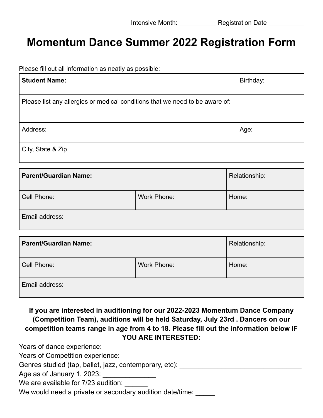## **Momentum Dance Summer 2022 Registration Form**

Please fill out all information as neatly as possible:

| <b>Student Name:</b>                                                         | Birthday: |
|------------------------------------------------------------------------------|-----------|
| Please list any allergies or medical conditions that we need to be aware of: |           |
| Address:                                                                     | Age:      |
| City, State & Zip                                                            |           |

| Parent/Guardian Name: |             | Relationship: |
|-----------------------|-------------|---------------|
| Cell Phone:           | Work Phone: | Home:         |
| Email address:        |             |               |

| <b>Parent/Guardian Name:</b> |             | Relationship: |
|------------------------------|-------------|---------------|
| Cell Phone:                  | Work Phone: | Home:         |
| Email address:               |             |               |

## **If you are interested in auditioning for our 2022-2023 Momentum Dance Company (Competition Team), auditions will be held Saturday, July 23rd . Dancers on our competition teams range in age from 4 to 18. Please fill out the information below IF YOU ARE INTERESTED:**

Years of dance experience: \_\_\_\_\_\_\_\_\_

Years of Competition experience: \_\_\_\_\_\_\_

Genres studied (tap, ballet, jazz, contemporary, etc): \_\_\_\_\_\_\_\_\_\_\_\_\_\_\_\_\_\_\_\_\_\_\_\_\_

| Age as of January 1, 2023: |  |
|----------------------------|--|
|----------------------------|--|

We are available for 7/23 audition:

We would need a private or secondary audition date/time: